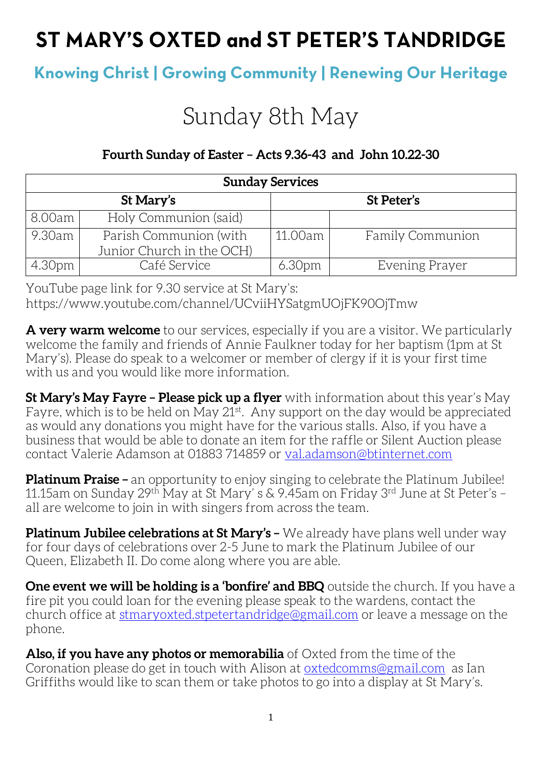## ST MARY'S OXTED and ST PETER'S TANDRIDGE

### **Knowing Christ | Growing Community | Renewing Our Heritage**

# Sunday 8th May

#### **Fourth Sunday of Easter – Acts 9.36-43 and John 10.22-30**

| <b>Sunday Services</b> |                           |                    |                         |  |
|------------------------|---------------------------|--------------------|-------------------------|--|
| St Mary's              |                           | St Peter's         |                         |  |
| 8.00am                 | Holy Communion (said)     |                    |                         |  |
| 9.30am                 | Parish Communion (with    | 11.00am            | <b>Family Communion</b> |  |
|                        | Junior Church in the OCH) |                    |                         |  |
| 4.30pm                 | Café Service              | 6.30 <sub>pm</sub> | Evening Prayer          |  |

YouTube page link for 9.30 service at St Mary's: https://www.youtube.com/channel/UCviiHYSatgmUOjFK90OjTmw

**A very warm welcome** to our services, especially if you are a visitor. We particularly welcome the family and friends of Annie Faulkner today for her baptism (1pm at St Mary's). Please do speak to a welcomer or member of clergy if it is your first time with us and you would like more information.

**St Mary's May Fayre – Please pick up a flyer** with information about this year's May Fayre, which is to be held on May 21<sup>st</sup>. Any support on the day would be appreciated as would any donations you might have for the various stalls. Also, if you have a business that would be able to donate an item for the raffle or Silent Auction please contact Valerie Adamson at 01883 714859 or [val.adamson@btinternet.com](mailto:val.adamson@btinternet.com)

**Platinum Praise –** an opportunity to enjoy singing to celebrate the Platinum Jubilee! 11.15am on Sunday 29th May at St Mary' s & 9.45am on Friday 3rd June at St Peter's – all are welcome to join in with singers from across the team.

**Platinum Jubilee celebrations at St Mary's –** We already have plans well under way for four days of celebrations over 2-5 June to mark the Platinum Jubilee of our Queen, Elizabeth II. Do come along where you are able.

**One event we will be holding is a 'bonfire' and BBQ** outside the church. If you have a fire pit you could loan for the evening please speak to the wardens, contact the church office at [stmaryoxted.stpetertandridge@gmail.com](mailto:stmaryoxted.stpetertandridge@gmail.com) or leave a message on the phone.

**Also, if you have any photos or memorabilia** of Oxted from the time of the Coronation please do get in touch with Alison at [oxtedcomms@gmail.com](mailto:oxtedcomms@gmail.com) as Ian Griffiths would like to scan them or take photos to go into a display at St Mary's.